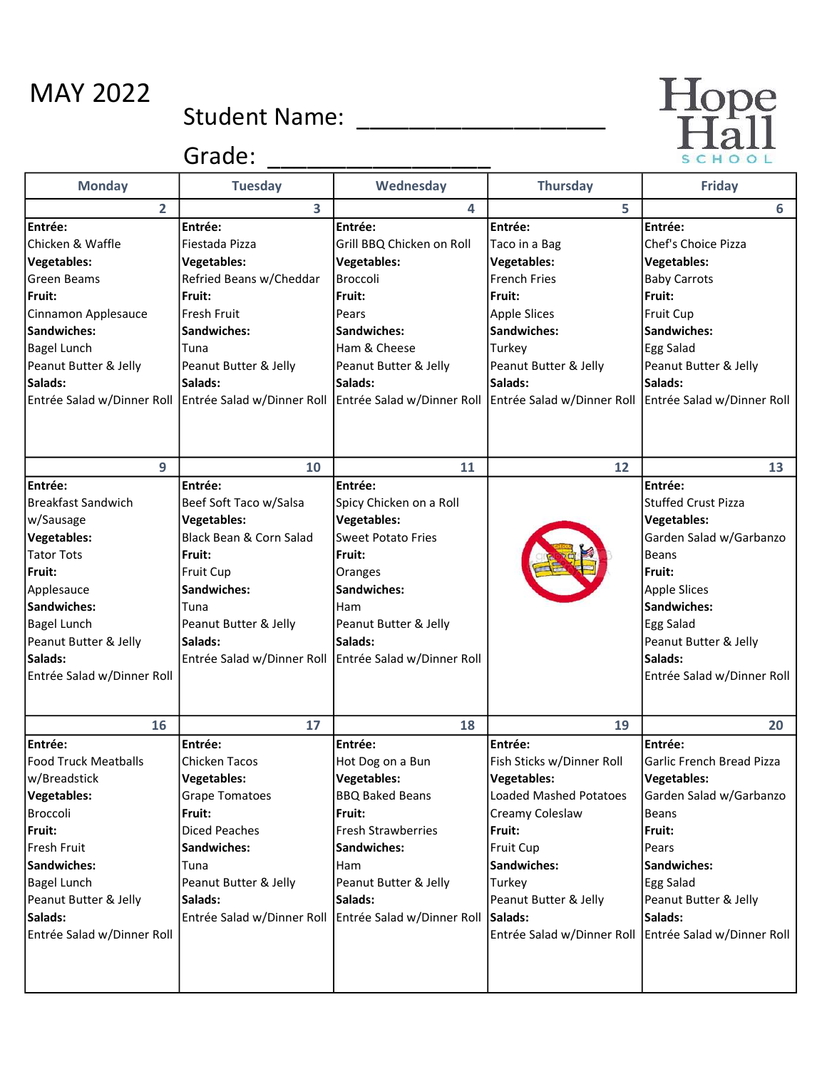## MAY 2022

## Student Name: \_\_\_\_\_\_\_\_\_\_\_\_\_\_\_\_\_\_\_



Grade: \_\_\_\_\_\_\_\_\_\_\_\_\_\_\_\_\_

| <b>Monday</b>                                                                                                                                                                                                               | <b>Tuesday</b>                                                                                                                                                                                                    | Wednesday                                                                                                                                                                                                          | <b>Thursday</b>                                                                                                                                                                                                                                         | <b>Friday</b>                                                                                                                                                                                                                         |
|-----------------------------------------------------------------------------------------------------------------------------------------------------------------------------------------------------------------------------|-------------------------------------------------------------------------------------------------------------------------------------------------------------------------------------------------------------------|--------------------------------------------------------------------------------------------------------------------------------------------------------------------------------------------------------------------|---------------------------------------------------------------------------------------------------------------------------------------------------------------------------------------------------------------------------------------------------------|---------------------------------------------------------------------------------------------------------------------------------------------------------------------------------------------------------------------------------------|
| $\overline{2}$                                                                                                                                                                                                              | 3                                                                                                                                                                                                                 | 4                                                                                                                                                                                                                  | 5                                                                                                                                                                                                                                                       | 6                                                                                                                                                                                                                                     |
| Entrée:<br>Chicken & Waffle<br><b>Vegetables:</b><br>Green Beams<br>Fruit:<br>Cinnamon Applesauce<br>Sandwiches:<br><b>Bagel Lunch</b><br>Peanut Butter & Jelly<br>Salads:<br>Entrée Salad w/Dinner Roll                    | Entrée:<br>Fiestada Pizza<br><b>Vegetables:</b><br>Refried Beans w/Cheddar<br>Fruit:<br><b>Fresh Fruit</b><br><b>Sandwiches:</b><br>Tuna<br>Peanut Butter & Jelly<br><b>Salads:</b><br>Entrée Salad w/Dinner Roll | Entrée:<br>Grill BBQ Chicken on Roll<br><b>Vegetables:</b><br>Broccoli<br>Fruit:<br>Pears<br>Sandwiches:<br>Ham & Cheese<br>Peanut Butter & Jelly<br>Salads:                                                       | Entrée:<br>Taco in a Bag<br><b>Vegetables:</b><br><b>French Fries</b><br>Fruit:<br><b>Apple Slices</b><br>Sandwiches:<br>Turkey<br>Peanut Butter & Jelly<br>Salads:<br>Entrée Salad w/Dinner Roll Entrée Salad w/Dinner Roll Entrée Salad w/Dinner Roll | Entrée:<br>Chef's Choice Pizza<br><b>Vegetables:</b><br><b>Baby Carrots</b><br>Fruit:<br>Fruit Cup<br>Sandwiches:<br>Egg Salad<br>Peanut Butter & Jelly<br>Salads:                                                                    |
| 9                                                                                                                                                                                                                           | 10                                                                                                                                                                                                                | 11                                                                                                                                                                                                                 | 12                                                                                                                                                                                                                                                      | 13                                                                                                                                                                                                                                    |
| Entrée:<br><b>Breakfast Sandwich</b><br>w/Sausage<br><b>Vegetables:</b><br><b>Tator Tots</b><br>Fruit:<br>Applesauce<br>Sandwiches:<br><b>Bagel Lunch</b><br>Peanut Butter & Jelly<br>Salads:<br>Entrée Salad w/Dinner Roll | Entrée:<br>Beef Soft Taco w/Salsa<br><b>Vegetables:</b><br>Black Bean & Corn Salad<br>Fruit:<br><b>Fruit Cup</b><br>Sandwiches:<br>Tuna<br>Peanut Butter & Jelly<br>Salads:<br>Entrée Salad w/Dinner Roll         | Entrée:<br>Spicy Chicken on a Roll<br><b>Vegetables:</b><br><b>Sweet Potato Fries</b><br>Fruit:<br>Oranges<br>Sandwiches:<br>Ham<br>Peanut Butter & Jelly<br>Salads:<br>Entrée Salad w/Dinner Roll                 |                                                                                                                                                                                                                                                         | Entrée:<br>Stuffed Crust Pizza<br><b>Vegetables:</b><br>Garden Salad w/Garbanzo<br><b>Beans</b><br>Fruit:<br><b>Apple Slices</b><br>Sandwiches:<br><b>Egg Salad</b><br>Peanut Butter & Jelly<br>Salads:<br>Entrée Salad w/Dinner Roll |
| 16                                                                                                                                                                                                                          | 17                                                                                                                                                                                                                | 18                                                                                                                                                                                                                 | 19                                                                                                                                                                                                                                                      | 20                                                                                                                                                                                                                                    |
| Entrée:<br><b>Food Truck Meatballs</b><br>w/Breadstick<br><b>Vegetables:</b><br>Broccoli<br>Fruit:<br>Fresh Fruit<br>Sandwiches:<br><b>Bagel Lunch</b><br>Peanut Butter & Jelly<br>Salads:<br>Entrée Salad w/Dinner Roll    | Entrée:<br><b>Chicken Tacos</b><br><b>Vegetables:</b><br><b>Grape Tomatoes</b><br>Fruit:<br><b>Diced Peaches</b><br>Sandwiches:<br>Tuna<br>Peanut Butter & Jelly<br>Salads:<br>Entrée Salad w/Dinner Roll         | Entrée:<br>Hot Dog on a Bun<br><b>Vegetables:</b><br><b>BBQ Baked Beans</b><br>Fruit:<br><b>Fresh Strawberries</b><br>Sandwiches:<br>Ham<br>Peanut Butter & Jelly<br>Salads:<br>Entrée Salad w/Dinner Roll Salads: | Entrée:<br>Fish Sticks w/Dinner Roll<br>Vegetables:<br><b>Loaded Mashed Potatoes</b><br>Creamy Coleslaw<br>Fruit:<br>Fruit Cup<br>Sandwiches:<br>Turkey<br>Peanut Butter & Jelly<br>Entrée Salad w/Dinner Roll                                          | Entrée:<br>Garlic French Bread Pizza<br>Vegetables:<br>Garden Salad w/Garbanzo<br><b>Beans</b><br>Fruit:<br>Pears<br>Sandwiches:<br>Egg Salad<br>Peanut Butter & Jelly<br>Salads:<br>Entrée Salad w/Dinner Roll                       |